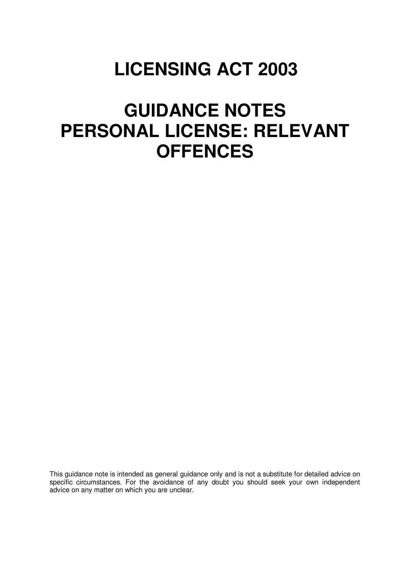## **LICENSING ACT 2003**

# **GUIDANCE NOTES PERSONAL LICENSE: RELEVANT OFFENCES**

This guidance note is intended as general guidance only and is not a substitute for detailed advice on specific circumstances. For the avoidance of any doubt you should seek your own independent advice on any matter on which you are unclear.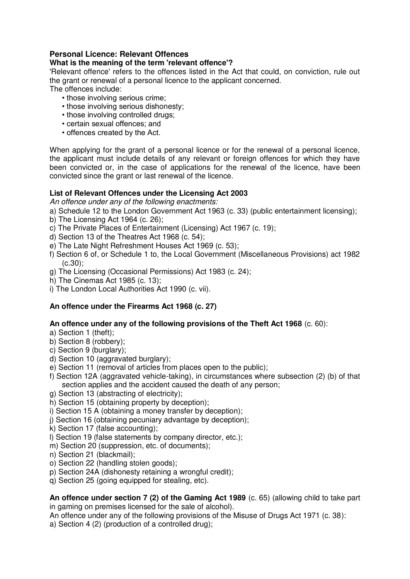### **Personal Licence: Relevant Offences**

## **What is the meaning of the term 'relevant offence'?**

'Relevant offence' refers to the offences listed in the Act that could, on conviction, rule out the grant or renewal of a personal licence to the applicant concerned.

The offences include:

- those involving serious crime;
- those involving serious dishonesty;
- those involving controlled drugs;
- certain sexual offences; and
- offences created by the Act.

When applying for the grant of a personal licence or for the renewal of a personal licence, the applicant must include details of any relevant or foreign offences for which they have been convicted or, in the case of applications for the renewal of the licence, have been convicted since the grant or last renewal of the licence.

### **List of Relevant Offences under the Licensing Act 2003**

*An offence under any of the following enactments:* 

a) Schedule 12 to the London Government Act 1963 (c. 33) (public entertainment licensing);

- b) The Licensing Act 1964 (c. 26);
- c) The Private Places of Entertainment (Licensing) Act 1967 (c. 19);
- d) Section 13 of the Theatres Act 1968 (c. 54);
- e) The Late Night Refreshment Houses Act 1969 (c. 53);
- f) Section 6 of, or Schedule 1 to, the Local Government (Miscellaneous Provisions) act 1982 (c.30);
- g) The Licensing (Occasional Permissions) Act 1983 (c. 24);
- h) The Cinemas Act 1985 (c. 13);
- i) The London Local Authorities Act 1990 (c. vii).

## **An offence under the Firearms Act 1968 (c. 27)**

## **An offence under any of the following provisions of the Theft Act 1968** (c. 60):

a) Section 1 (theft);

- b) Section 8 (robbery);
- c) Section 9 (burglary);
- d) Section 10 (aggravated burglary);
- e) Section 11 (removal of articles from places open to the public);
- f) Section 12A (aggravated vehicle-taking), in circumstances where subsection (2) (b) of that section applies and the accident caused the death of any person;
- g) Section 13 (abstracting of electricity);
- h) Section 15 (obtaining property by deception);
- i) Section 15 A (obtaining a money transfer by deception);
- j) Section 16 (obtaining pecuniary advantage by deception);
- k) Section 17 (false accounting);
- l) Section 19 (false statements by company director, etc.);
- m) Section 20 (suppression, etc. of documents);
- n) Section 21 (blackmail);
- o) Section 22 (handling stolen goods);
- p) Section 24A (dishonesty retaining a wrongful credit);
- q) Section 25 (going equipped for stealing, etc).

**An offence under section 7 (2) of the Gaming Act 1989** (c. 65) (allowing child to take part in gaming on premises licensed for the sale of alcohol).

An offence under any of the following provisions of the Misuse of Drugs Act 1971 (c. 38):

a) Section 4 (2) (production of a controlled drug);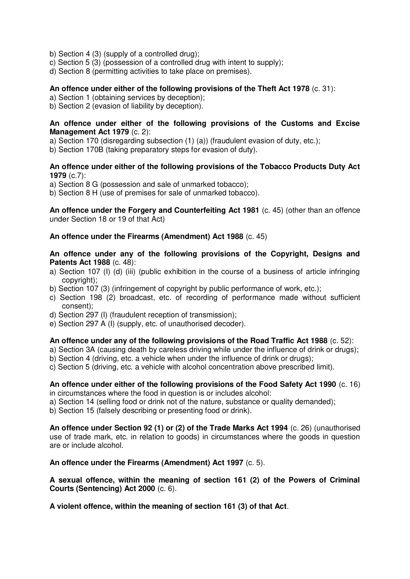- b) Section 4 (3) (supply of a controlled drug);
- c) Section 5 (3) (possession of a controlled drug with intent to supply);
- d) Section 8 (permitting activities to take place on premises).

#### **An offence under either of the following provisions of the Theft Act 1978** (c. 31):

a) Section 1 (obtaining services by deception);

b) Section 2 (evasion of liability by deception).

#### **An offence under either of the following provisions of the Customs and Excise Management Act 1979** (c. 2):

a) Section 170 (disregarding subsection (1) (a)) (fraudulent evasion of duty, etc.);

b) Section 170B (taking preparatory steps for evasion of duty).

#### **An offence under either of the following provisions of the Tobacco Products Duty Act 1979** (c.7):

a) Section 8 G (possession and sale of unmarked tobacco);

b) Section 8 H (use of premises for sale of unmarked tobacco).

**An offence under the Forgery and Counterfeiting Act 1981** (c. 45) (other than an offence under Section 18 or 19 of that Act)

#### **An offence under the Firearms (Amendment) Act 1988** (c. 45)

**An offence under any of the following provisions of the Copyright, Designs and Patents Act 1988** (c. 48):

- a) Section 107 (I) (d) (iii) (public exhibition in the course of a business of article infringing copyright);
- b) Section 107 (3) (infringement of copyright by public performance of work, etc.);
- c) Section 198 (2) broadcast, etc. of recording of performance made without sufficient consent);
- d) Section 297 (I) (fraudulent reception of transmission);
- e) Section 297 A (I) (supply, etc. of unauthorised decoder).

#### **An offence under any of the following provisions of the Road Traffic Act 1988** (c. 52):

a) Section 3A (causing death by careless driving while under the influence of drink or drugs);

- b) Section 4 (driving, etc. a vehicle when under the influence of drink or drugs);
- c) Section 5 (driving, etc. a vehicle with alcohol concentration above prescribed limit).

#### **An offence under either of the following provisions of the Food Safety Act 1990** (c. 16) in circumstances where the food in question is or includes alcohol:

- a) Section 14 (selling food or drink not of the nature, substance or quality demanded);
- b) Section 15 (falsely describing or presenting food or drink).

**An offence under Section 92 (1) or (2) of the Trade Marks Act 1994** (c. 26) (unauthorised use of trade mark, etc. in relation to goods) in circumstances where the goods in question are or include alcohol.

#### **An offence under the Firearms (Amendment) Act 1997** (c. 5).

**A sexual offence, within the meaning of section 161 (2) of the Powers of Criminal Courts (Sentencing) Act 2000** (c. 6).

**A violent offence, within the meaning of section 161 (3) of that Act**.